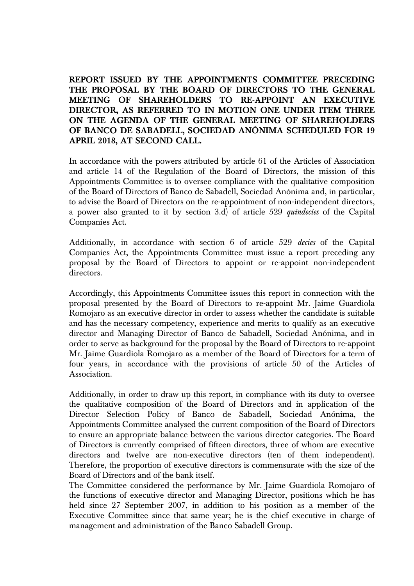**REPORT ISSUED BY THE APPOINTMENTS COMMITTEE PRECEDING THE PROPOSAL BY THE BOARD OF DIRECTORS TO THE GENERAL MEETING OF SHAREHOLDERS TO RE-APPOINT AN EXECUTIVE DIRECTOR, AS REFERRED TO IN MOTION ONE UNDER ITEM THREE ON THE AGENDA OF THE GENERAL MEETING OF SHAREHOLDERS OF BANCO DE SABADELL, SOCIEDAD ANÓNIMA SCHEDULED FOR 19 APRIL 2018, AT SECOND CALL.** 

In accordance with the powers attributed by article 61 of the Articles of Association and article 14 of the Regulation of the Board of Directors, the mission of this Appointments Committee is to oversee compliance with the qualitative composition of the Board of Directors of Banco de Sabadell, Sociedad Anónima and, in particular, to advise the Board of Directors on the re-appointment of non-independent directors, a power also granted to it by section 3.d) of article 529 *quindecies* of the Capital Companies Act.

Additionally, in accordance with section 6 of article 529 *decies* of the Capital Companies Act, the Appointments Committee must issue a report preceding any proposal by the Board of Directors to appoint or re-appoint non-independent directors.

Accordingly, this Appointments Committee issues this report in connection with the proposal presented by the Board of Directors to re-appoint Mr. Jaime Guardiola Romojaro as an executive director in order to assess whether the candidate is suitable and has the necessary competency, experience and merits to qualify as an executive director and Managing Director of Banco de Sabadell, Sociedad Anónima, and in order to serve as background for the proposal by the Board of Directors to re-appoint Mr. Jaime Guardiola Romojaro as a member of the Board of Directors for a term of four years, in accordance with the provisions of article 50 of the Articles of Association.

Additionally, in order to draw up this report, in compliance with its duty to oversee the qualitative composition of the Board of Directors and in application of the Director Selection Policy of Banco de Sabadell, Sociedad Anónima, the Appointments Committee analysed the current composition of the Board of Directors to ensure an appropriate balance between the various director categories. The Board of Directors is currently comprised of fifteen directors, three of whom are executive directors and twelve are non-executive directors (ten of them independent). Therefore, the proportion of executive directors is commensurate with the size of the Board of Directors and of the bank itself.

The Committee considered the performance by Mr. Jaime Guardiola Romojaro of the functions of executive director and Managing Director, positions which he has held since 27 September 2007, in addition to his position as a member of the Executive Committee since that same year; he is the chief executive in charge of management and administration of the Banco Sabadell Group.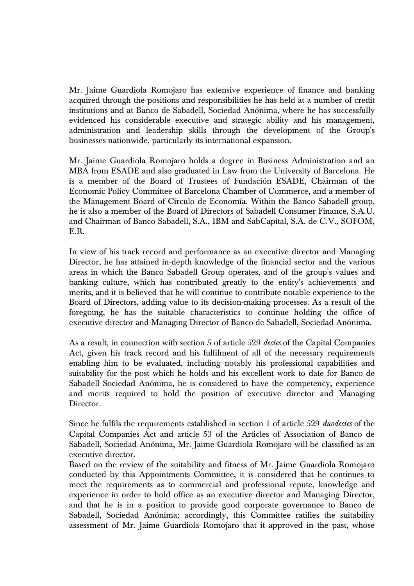Mr. Jaime Guardiola Romojaro has extensive experience of finance and banking acquired through the positions and responsibilities he has held at a number of credit institutions and at Banco de Sabadell, Sociedad Anónima, where he has successfully evidenced his considerable executive and strategic ability and his management, administration and leadership skills through the development of the Group's businesses nationwide, particularly its international expansion.

Mr. Jaime Guardiola Romojaro holds a degree in Business Administration and an MBA from ESADE and also graduated in Law from the University of Barcelona. He is a member of the Board of Trustees of Fundación ESADE, Chairman of the Economic Policy Committee of Barcelona Chamber of Commerce, and a member of the Management Board of Círculo de Economía. Within the Banco Sabadell group, he is also a member of the Board of Directors of Sabadell Consumer Finance, S.A.U. and Chairman of Banco Sabadell, S.A., IBM and SabCapital, S.A. de C.V., SOFOM, E.R.

In view of his track record and performance as an executive director and Managing Director, he has attained in-depth knowledge of the financial sector and the various areas in which the Banco Sabadell Group operates, and of the group's values and banking culture, which has contributed greatly to the entity's achievements and merits, and it is believed that he will continue to contribute notable experience to the Board of Directors, adding value to its decision-making processes. As a result of the foregoing, he has the suitable characteristics to continue holding the office of executive director and Managing Director of Banco de Sabadell, Sociedad Anónima.

As a result, in connection with section 5 of article 529 *decies* of the Capital Companies Act, given his track record and his fulfilment of all of the necessary requirements enabling him to be evaluated, including notably his professional capabilities and suitability for the post which he holds and his excellent work to date for Banco de Sabadell Sociedad Anónima, he is considered to have the competency, experience and merits required to hold the position of executive director and Managing Director.

Since he fulfils the requirements established in section 1 of article 529 *duodecies* of the Capital Companies Act and article 53 of the Articles of Association of Banco de Sabadell, Sociedad Anónima, Mr. Jaime Guardiola Romojaro will be classified as an executive director.

Based on the review of the suitability and fitness of Mr. Jaime Guardiola Romojaro conducted by this Appointments Committee, it is considered that he continues to meet the requirements as to commercial and professional repute, knowledge and experience in order to hold office as an executive director and Managing Director, and that he is in a position to provide good corporate governance to Banco de Sabadell, Sociedad Anónima; accordingly, this Committee ratifies the suitability assessment of Mr. Jaime Guardiola Romojaro that it approved in the past, whose